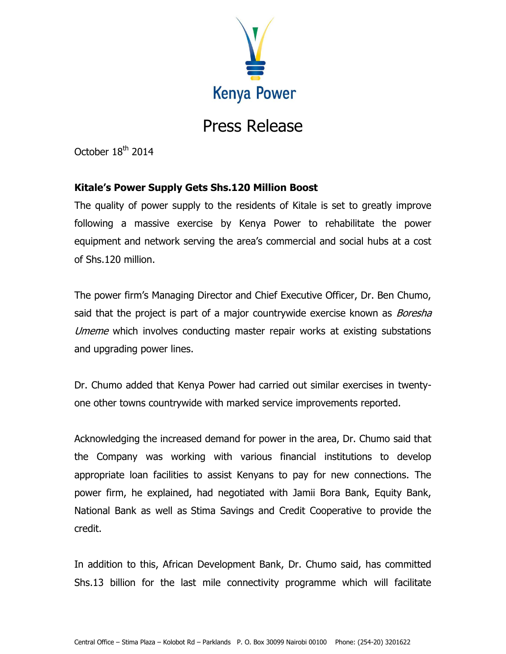

## Press Release

October 18<sup>th</sup> 2014

## **Kitale's Power Supply Gets Shs.120 Million Boost**

The quality of power supply to the residents of Kitale is set to greatly improve following a massive exercise by Kenya Power to rehabilitate the power equipment and network serving the area's commercial and social hubs at a cost of Shs.120 million.

The power firm's Managing Director and Chief Executive Officer, Dr. Ben Chumo, said that the project is part of a major countrywide exercise known as *Boresha* Umeme which involves conducting master repair works at existing substations and upgrading power lines.

Dr. Chumo added that Kenya Power had carried out similar exercises in twentyone other towns countrywide with marked service improvements reported.

Acknowledging the increased demand for power in the area, Dr. Chumo said that the Company was working with various financial institutions to develop appropriate loan facilities to assist Kenyans to pay for new connections. The power firm, he explained, had negotiated with Jamii Bora Bank, Equity Bank, National Bank as well as Stima Savings and Credit Cooperative to provide the credit.

In addition to this, African Development Bank, Dr. Chumo said, has committed Shs.13 billion for the last mile connectivity programme which will facilitate